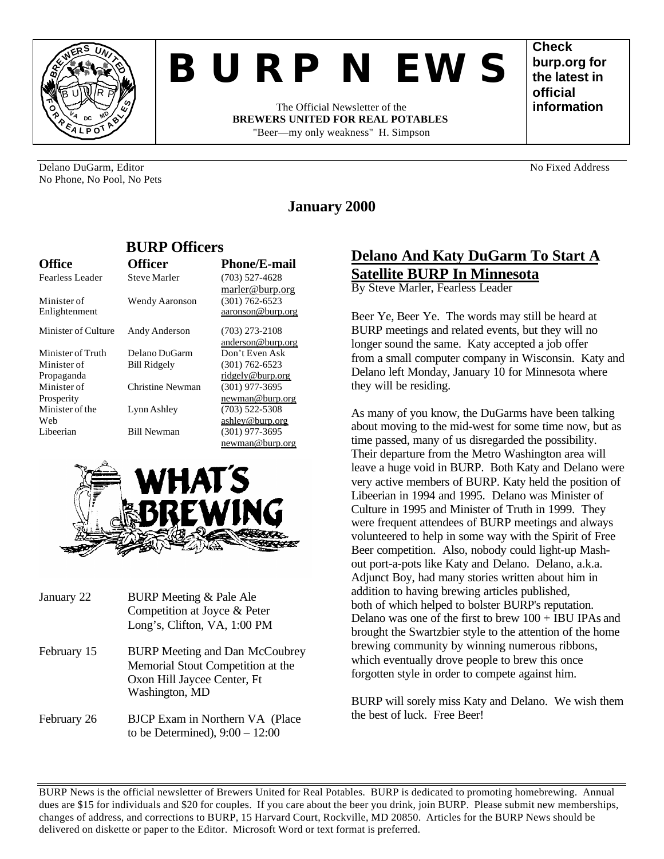

# *BURP NEWS*

The Official Newsletter of the **BREWERS UNITED FOR REAL POTABLES** "Beer—my only weakness" H. Simpson

**Check burp.org for the latest in official information**

Delano DuGarm, Editor No. 2008. No Fixed Address No Fixed Address No Fixed Address No Fixed Address No Fixed Address No Fixed Address No Fixed Address No Fixed Address No Fixed Address No Fixed Address No Fixed Address No No Phone, No Pool, No Pets

# **January 2000**

| рсім опісня         |                     |                     |
|---------------------|---------------------|---------------------|
| <b>Office</b>       | <b>Officer</b>      | <b>Phone/E-mail</b> |
| Fearless Leader     | Steve Marler        | $(703)$ 527-4628    |
|                     |                     | marler@burp.org     |
| Minister of         | Wendy Aaronson      | $(301) 762 - 6523$  |
| Enlightenment       |                     | aaronson@burp.org   |
| Minister of Culture | Andy Anderson       | $(703)$ 273-2108    |
|                     |                     | anderson@burp.org   |
| Minister of Truth   | Delano DuGarm       | Don't Even Ask      |
| Minister of         | <b>Bill Ridgely</b> | $(301) 762 - 6523$  |
| Propaganda          |                     | ridgely@burp.org    |
| Minister of         | Christine Newman    | $(301)$ 977-3695    |
| Prosperity          |                     | newman@burp.org     |
| Minister of the     | Lynn Ashley         | $(703)$ 522-5308    |
| Web                 |                     | ashley@burp.org     |
| Libeerian           | <b>Bill Newman</b>  | $(301)$ 977-3695    |
|                     |                     | newman@burp.org     |

**BURP Officers**



| January 22  | BURP Meeting & Pale Ale<br>Competition at Joyce & Peter<br>Long's, Clifton, VA, 1:00 PM                                     |
|-------------|-----------------------------------------------------------------------------------------------------------------------------|
| February 15 | <b>BURP</b> Meeting and Dan McCoubrey<br>Memorial Stout Competition at the<br>Oxon Hill Jaycee Center, Ft<br>Washington, MD |
| February 26 | BJCP Exam in Northern VA (Place)<br>to be Determined), $9:00 - 12:00$                                                       |

# **Delano And Katy DuGarm To Start A Satellite BURP In Minnesota**

By Steve Marler, Fearless Leader

Beer Ye, Beer Ye. The words may still be heard at BURP meetings and related events, but they will no longer sound the same. Katy accepted a job offer from a small computer company in Wisconsin. Katy and Delano left Monday, January 10 for Minnesota where they will be residing.

As many of you know, the DuGarms have been talking about moving to the mid-west for some time now, but as time passed, many of us disregarded the possibility. Their departure from the Metro Washington area will leave a huge void in BURP. Both Katy and Delano were very active members of BURP. Katy held the position of Libeerian in 1994 and 1995. Delano was Minister of Culture in 1995 and Minister of Truth in 1999. They were frequent attendees of BURP meetings and always volunteered to help in some way with the Spirit of Free Beer competition. Also, nobody could light-up Mashout port-a-pots like Katy and Delano. Delano, a.k.a. Adjunct Boy, had many stories written about him in addition to having brewing articles published, both of which helped to bolster BURP's reputation. Delano was one of the first to brew  $100 + IBU$  IPAs and brought the Swartzbier style to the attention of the home brewing community by winning numerous ribbons, which eventually drove people to brew this once forgotten style in order to compete against him.

BURP will sorely miss Katy and Delano. We wish them the best of luck. Free Beer!

BURP News is the official newsletter of Brewers United for Real Potables. BURP is dedicated to promoting homebrewing. Annual dues are \$15 for individuals and \$20 for couples. If you care about the beer you drink, join BURP. Please submit new memberships, changes of address, and corrections to BURP, 15 Harvard Court, Rockville, MD 20850. Articles for the BURP News should be delivered on diskette or paper to the Editor. Microsoft Word or text format is preferred.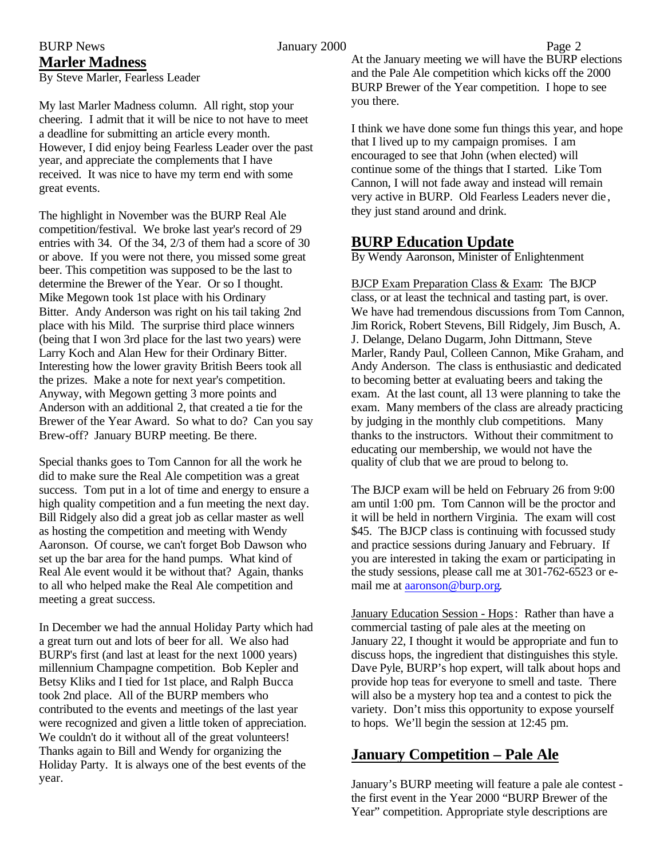# **Marler Madness**

By Steve Marler, Fearless Leader

My last Marler Madness column. All right, stop your cheering. I admit that it will be nice to not have to meet a deadline for submitting an article every month. However, I did enjoy being Fearless Leader over the past year, and appreciate the complements that I have received. It was nice to have my term end with some great events.

The highlight in November was the BURP Real Ale competition/festival. We broke last year's record of 29 entries with 34. Of the 34, 2/3 of them had a score of 30 or above. If you were not there, you missed some great beer. This competition was supposed to be the last to determine the Brewer of the Year. Or so I thought. Mike Megown took 1st place with his Ordinary Bitter. Andy Anderson was right on his tail taking 2nd place with his Mild. The surprise third place winners (being that I won 3rd place for the last two years) were Larry Koch and Alan Hew for their Ordinary Bitter. Interesting how the lower gravity British Beers took all the prizes. Make a note for next year's competition. Anyway, with Megown getting 3 more points and Anderson with an additional 2, that created a tie for the Brewer of the Year Award. So what to do? Can you say Brew-off? January BURP meeting. Be there.

Special thanks goes to Tom Cannon for all the work he did to make sure the Real Ale competition was a great success. Tom put in a lot of time and energy to ensure a high quality competition and a fun meeting the next day. Bill Ridgely also did a great job as cellar master as well as hosting the competition and meeting with Wendy Aaronson. Of course, we can't forget Bob Dawson who set up the bar area for the hand pumps. What kind of Real Ale event would it be without that? Again, thanks to all who helped make the Real Ale competition and meeting a great success.

In December we had the annual Holiday Party which had a great turn out and lots of beer for all. We also had BURP's first (and last at least for the next 1000 years) millennium Champagne competition. Bob Kepler and Betsy Kliks and I tied for 1st place, and Ralph Bucca took 2nd place. All of the BURP members who contributed to the events and meetings of the last year were recognized and given a little token of appreciation. We couldn't do it without all of the great volunteers! Thanks again to Bill and Wendy for organizing the Holiday Party. It is always one of the best events of the year.

BURP News **Figure 2 Denote** 1 **Alternative 2000** Page 2 At the January meeting we will have the BURP elections and the Pale Ale competition which kicks off the 2000 BURP Brewer of the Year competition. I hope to see you there.

> I think we have done some fun things this year, and hope that I lived up to my campaign promises. I am encouraged to see that John (when elected) will continue some of the things that I started. Like Tom Cannon, I will not fade away and instead will remain very active in BURP. Old Fearless Leaders never die , they just stand around and drink.

## **BURP Education Update**

By Wendy Aaronson, Minister of Enlightenment

BJCP Exam Preparation Class & Exam: The BJCP class, or at least the technical and tasting part, is over. We have had tremendous discussions from Tom Cannon, Jim Rorick, Robert Stevens, Bill Ridgely, Jim Busch, A. J. Delange, Delano Dugarm, John Dittmann, Steve Marler, Randy Paul, Colleen Cannon, Mike Graham, and Andy Anderson. The class is enthusiastic and dedicated to becoming better at evaluating beers and taking the exam. At the last count, all 13 were planning to take the exam. Many members of the class are already practicing by judging in the monthly club competitions. Many thanks to the instructors. Without their commitment to educating our membership, we would not have the quality of club that we are proud to belong to.

The BJCP exam will be held on February 26 from 9:00 am until 1:00 pm. Tom Cannon will be the proctor and it will be held in northern Virginia. The exam will cost \$45. The BJCP class is continuing with focussed study and practice sessions during January and February. If you are interested in taking the exam or participating in the study sessions, please call me at 301-762-6523 or email me at aaronson@burp.org.

January Education Session - Hops: Rather than have a commercial tasting of pale ales at the meeting on January 22, I thought it would be appropriate and fun to discuss hops, the ingredient that distinguishes this style. Dave Pyle, BURP's hop expert, will talk about hops and provide hop teas for everyone to smell and taste. There will also be a mystery hop tea and a contest to pick the variety. Don't miss this opportunity to expose yourself to hops. We'll begin the session at 12:45 pm.

# **January Competition – Pale Ale**

January's BURP meeting will feature a pale ale contest the first event in the Year 2000 "BURP Brewer of the Year" competition. Appropriate style descriptions are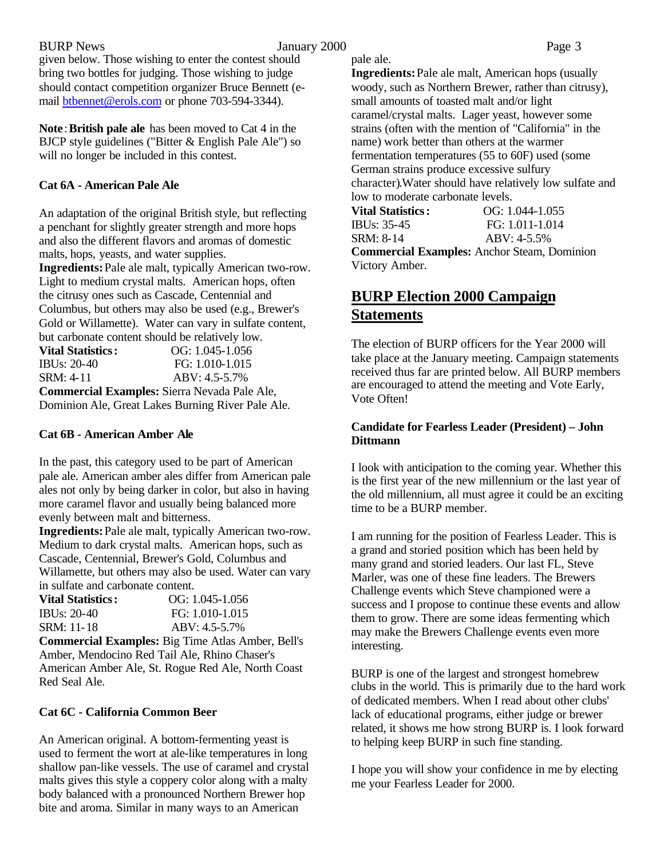BURP News **Figure 3** *BURP* News **Page 3** given below. Those wishing to enter the contest should bring two bottles for judging. Those wishing to judge should contact competition organizer Bruce Bennett (email btbennet@erols.com or phone 703-594-3344).

**Note** : **British pale ale** has been moved to Cat 4 in the BJCP style guidelines ("Bitter & English Pale Ale") so will no longer be included in this contest.

#### **Cat 6A - American Pale Ale**

An adaptation of the original British style, but reflecting a penchant for slightly greater strength and more hops and also the different flavors and aromas of domestic malts, hops, yeasts, and water supplies.

**Ingredients:** Pale ale malt, typically American two-row. Light to medium crystal malts. American hops, often the citrusy ones such as Cascade, Centennial and Columbus, but others may also be used (e.g., Brewer's Gold or Willamette). Water can vary in sulfate content, but carbonate content should be relatively low.

**Vital Statistics:** OG: 1.045-1.056 IBUs: 20-40 FG: 1.010-1.015 SRM: 4-11 ABV: 4.5-5.7% **Commercial Examples:** Sierra Nevada Pale Ale, Dominion Ale, Great Lakes Burning River Pale Ale.

#### **Cat 6B - American Amber Ale**

In the past, this category used to be part of American pale ale. American amber ales differ from American pale ales not only by being darker in color, but also in having more caramel flavor and usually being balanced more evenly between malt and bitterness.

**Ingredients:** Pale ale malt, typically American two-row. Medium to dark crystal malts. American hops, such as Cascade, Centennial, Brewer's Gold, Columbus and Willamette, but others may also be used. Water can vary in sulfate and carbonate content.

| <b>Vital Statistics:</b> | $OG: 1.045-1.056$ |
|--------------------------|-------------------|
| IBUs: $20-40$            | FG: 1.010-1.015   |
| SRM: 11-18               | $ABV: 4.5-5.7\%$  |

**Commercial Examples:** Big Time Atlas Amber, Bell's Amber, Mendocino Red Tail Ale, Rhino Chaser's American Amber Ale, St. Rogue Red Ale, North Coast Red Seal Ale.

#### **Cat 6C - California Common Beer**

An American original. A bottom-fermenting yeast is used to ferment the wort at ale-like temperatures in long shallow pan-like vessels. The use of caramel and crystal malts gives this style a coppery color along with a malty body balanced with a pronounced Northern Brewer hop bite and aroma. Similar in many ways to an American

pale ale.

**Ingredients:** Pale ale malt, American hops (usually woody, such as Northern Brewer, rather than citrusy), small amounts of toasted malt and/or light caramel/crystal malts. Lager yeast, however some strains (often with the mention of "California" in the name) work better than others at the warmer fermentation temperatures (55 to 60F) used (some German strains produce excessive sulfury character).Water should have relatively low sulfate and low to moderate carbonate levels.

**Vital Statistics:** OG: 1.044-1.055 IBUs: 35-45 FG: 1.011-1.014 SRM: 8-14 ABV: 4-5.5% **Commercial Examples:** Anchor Steam, Dominion Victory Amber.

# **BURP Election 2000 Campaign Statements**

The election of BURP officers for the Year 2000 will take place at the January meeting. Campaign statements received thus far are printed below. All BURP members are encouraged to attend the meeting and Vote Early, Vote Often!

#### **Candidate for Fearless Leader (President) – John Dittmann**

I look with anticipation to the coming year. Whether this is the first year of the new millennium or the last year of the old millennium, all must agree it could be an exciting time to be a BURP member.

I am running for the position of Fearless Leader. This is a grand and storied position which has been held by many grand and storied leaders. Our last FL, Steve Marler, was one of these fine leaders. The Brewers Challenge events which Steve championed were a success and I propose to continue these events and allow them to grow. There are some ideas fermenting which may make the Brewers Challenge events even more interesting.

BURP is one of the largest and strongest homebrew clubs in the world. This is primarily due to the hard work of dedicated members. When I read about other clubs' lack of educational programs, either judge or brewer related, it shows me how strong BURP is. I look forward to helping keep BURP in such fine standing.

I hope you will show your confidence in me by electing me your Fearless Leader for 2000.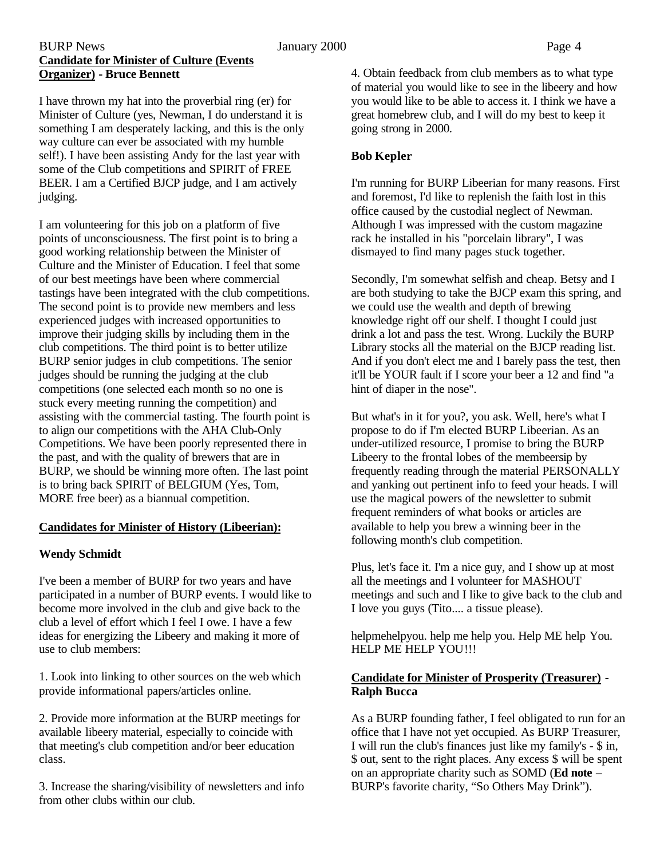#### BURP News **Figure 1.1 According to 1.4 According 1.4 According 1.4 According 1.4 According 1.4 According 1.4 According 1.4 According 1.4 According 1.4 According 1.4 According 1.4 According 1.4 According 1.4 According 1.4 A Candidate for Minister of Culture (Events Organizer) - Bruce Bennett**

I have thrown my hat into the proverbial ring (er) for Minister of Culture (yes, Newman, I do understand it is something I am desperately lacking, and this is the only way culture can ever be associated with my humble self!). I have been assisting Andy for the last year with some of the Club competitions and SPIRIT of FREE BEER. I am a Certified BJCP judge, and I am actively judging.

I am volunteering for this job on a platform of five points of unconsciousness. The first point is to bring a good working relationship between the Minister of Culture and the Minister of Education. I feel that some of our best meetings have been where commercial tastings have been integrated with the club competitions. The second point is to provide new members and less experienced judges with increased opportunities to improve their judging skills by including them in the club competitions. The third point is to better utilize BURP senior judges in club competitions. The senior judges should be running the judging at the club competitions (one selected each month so no one is stuck every meeting running the competition) and assisting with the commercial tasting. The fourth point is to align our competitions with the AHA Club-Only Competitions. We have been poorly represented there in the past, and with the quality of brewers that are in BURP, we should be winning more often. The last point is to bring back SPIRIT of BELGIUM (Yes, Tom, MORE free beer) as a biannual competition.

### **Candidates for Minister of History (Libeerian):**

### **Wendy Schmidt**

I've been a member of BURP for two years and have participated in a number of BURP events. I would like to become more involved in the club and give back to the club a level of effort which I feel I owe. I have a few ideas for energizing the Libeery and making it more of use to club members:

1. Look into linking to other sources on the web which provide informational papers/articles online.

2. Provide more information at the BURP meetings for available libeery material, especially to coincide with that meeting's club competition and/or beer education class.

3. Increase the sharing/visibility of newsletters and info from other clubs within our club.

4. Obtain feedback from club members as to what type of material you would like to see in the libeery and how you would like to be able to access it. I think we have a great homebrew club, and I will do my best to keep it going strong in 2000.

#### **Bob Kepler**

I'm running for BURP Libeerian for many reasons. First and foremost, I'd like to replenish the faith lost in this office caused by the custodial neglect of Newman. Although I was impressed with the custom magazine rack he installed in his "porcelain library", I was dismayed to find many pages stuck together.

Secondly, I'm somewhat selfish and cheap. Betsy and I are both studying to take the BJCP exam this spring, and we could use the wealth and depth of brewing knowledge right off our shelf. I thought I could just drink a lot and pass the test. Wrong. Luckily the BURP Library stocks all the material on the BJCP reading list. And if you don't elect me and I barely pass the test, then it'll be YOUR fault if I score your beer a 12 and find "a hint of diaper in the nose".

But what's in it for you?, you ask. Well, here's what I propose to do if I'm elected BURP Libeerian. As an under-utilized resource, I promise to bring the BURP Libeery to the frontal lobes of the membeersip by frequently reading through the material PERSONALLY and yanking out pertinent info to feed your heads. I will use the magical powers of the newsletter to submit frequent reminders of what books or articles are available to help you brew a winning beer in the following month's club competition.

Plus, let's face it. I'm a nice guy, and I show up at most all the meetings and I volunteer for MASHOUT meetings and such and I like to give back to the club and I love you guys (Tito.... a tissue please).

helpmehelpyou. help me help you. Help ME help You. HELP ME HELP YOU!!!

#### **Candidate for Minister of Prosperity (Treasurer) - Ralph Bucca**

As a BURP founding father, I feel obligated to run for an office that I have not yet occupied. As BURP Treasurer, I will run the club's finances just like my family's - \$ in, \$ out, sent to the right places. Any excess \$ will be spent on an appropriate charity such as SOMD (**Ed note** – BURP's favorite charity, "So Others May Drink").